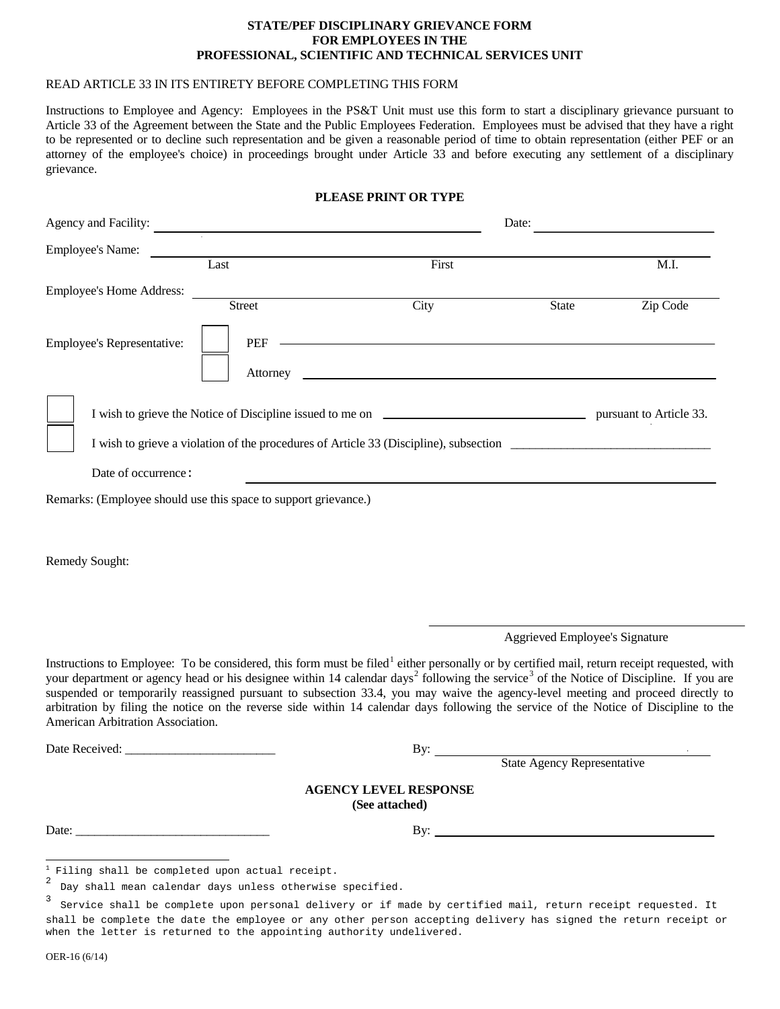#### **STATE/PEF DISCIPLINARY GRIEVANCE FORM FOR EMPLOYEES IN THE PROFESSIONAL, SCIENTIFIC AND TECHNICAL SERVICES UNIT**

# READ ARTICLE 33 IN ITS ENTIRETY BEFORE COMPLETING THIS FORM

Instructions to Employee and Agency: Employees in the PS&T Unit must use this form to start a disciplinary grievance pursuant to Article 33 of the Agreement between the State and the Public Employees Federation. Employees must be advised that they have a right to be represented or to decline such representation and be given a reasonable period of time to obtain representation (either PEF or an attorney of the employee's choice) in proceedings brought under Article 33 and before executing any settlement of a disciplinary grievance.

### **PLEASE PRINT OR TYPE**

| Agency and Facility:            |                                                                 | Date: |       |          |
|---------------------------------|-----------------------------------------------------------------|-------|-------|----------|
| <b>Employee's Name:</b>         | $\ddot{\phantom{0}}$                                            |       |       |          |
|                                 | Last                                                            | First |       | M.I.     |
| <b>Employee's Home Address:</b> |                                                                 |       |       |          |
| Employee's Representative:      | <b>Street</b><br>PEF<br>Attorney                                | City  | State | Zip Code |
| Date of occurrence:             |                                                                 |       |       |          |
|                                 | Remarks: (Employee should use this space to support grievance.) |       |       |          |

Remedy Sought:

Aggrieved Employee's Signature

Instructions to Employee: To be considered, this form must be filed<sup>[1](#page-0-0)</sup> either personally or by certified mail, return receipt requested, with your department or agency head or his designee within 14 calendar days<sup>[2](#page-0-1)</sup> following the service<sup>[3](#page-0-2)</sup> of the Notice of Discipline. If you are suspended or temporarily reassigned pursuant to subsection 33.4, you may waive the agency-level meeting and proceed directly to arbitration by filing the notice on the reverse side within 14 calendar days following the service of the Notice of Discipline to the American Arbitration Association.

Date Received: \_\_\_\_\_\_\_\_\_\_\_\_\_\_\_\_\_\_\_\_\_\_\_\_ By:

State Agency Representative

#### **AGENCY LEVEL RESPONSE (See attached)**

Date: \_\_\_\_\_\_\_\_\_\_\_\_\_\_\_\_\_\_\_\_\_\_\_\_\_\_\_\_\_\_\_ By:

<span id="page-0-0"></span> $\frac{1}{2}$  Filing shall be completed upon actual receipt.  $\mathbf 1$ 

<span id="page-0-1"></span>Day shall mean calendar days unless otherwise specified.

<span id="page-0-2"></span><sup>3</sup> Service shall be complete upon personal delivery or if made by certified mail, return receipt requested. It shall be complete the date the employee or any other person accepting delivery has signed the return receipt or when the letter is returned to the appointing authority undelivered.